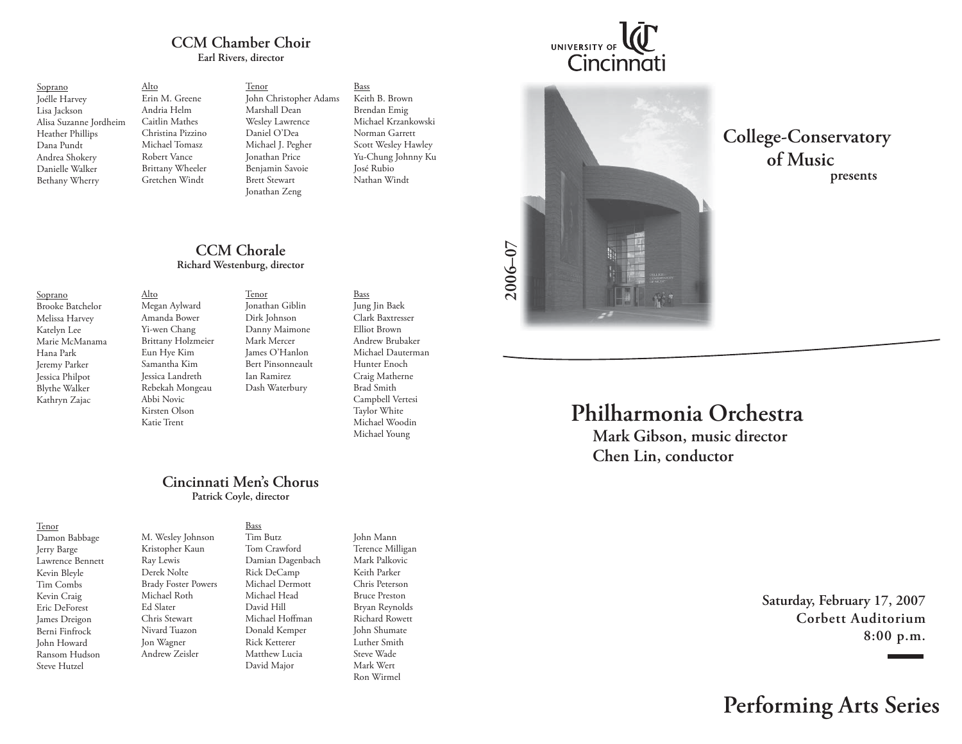# **CCM Chamber ChoirEarl Rivers, director**

Soprano Joélle Harvey Lisa Jackson Alisa Suzanne Jordheim Heather Phillips Dana PundtAndrea Shokery Danielle WalkerBethany Wherry

Alto

Alto

Ray Lewis Derek Nolte

Michael RothEd SlaterChris Stewart Nivard Tuazon Jon Wagner Andrew Zeisler

TenorJohn Christopher Adams Marshall Dean Wesley Lawrence Daniel O'DeaMichael J. Pegher Jonathan Price Benjamin Savoie Brett StewartJonathan Zeng Erin M. GreeneAndria HelmCaitlin MathesChristina PizzinoMichael TomaszRobert VanceBrittany Wheeler Gretchen Windt

BassKeith B. BrownBrendan Emig Michael Krzankowski Norman GarrettScott Wesley Hawley Yu-Chung Johnny Ku José Rubio Nathan Windt

## **CCM ChoraleRichard Westenburg, director**

TenorJonathan Giblin Dirk Johnson Danny Maimone Mark MercerJames O'Hanlon Bert PinsonneaultIan RamirezDash Waterbury Megan Aylward Amanda BowerYi-wen Chang Brittany Holzmeier Eun Hye Kim Samantha KimJessica Landreth Rebekah Mongeau Abbi NovicKirsten OlsonKatie Trent

## Jung Jin Baek Clark BaxtresserElliot BrownAndrew Brubaker Michael DautermanHunter EnochCraig Matherne Brad Smith Campbell Vertesi Taylor White Michael WoodinMichael Young

Bass

## **Cincinnati Men's ChorusPatrick Coyle, director**

## Tenor

Soprano Brooke Batchelor Melissa Harvey Katelyn Lee Marie McManamaHana ParkJeremy Parker Jessica Philpot Blythe Walker Kathryn Zajac

Damon Babbage Jerry Barge Lawrence Bennett Kevin Bleyle Tim Combs Kevin Craig Eric DeForestJames Dreigon Berni FinfrockJohn Howard Ransom HudsonSteve Hutzel

Bass Tim ButzTom Crawford Damian Dagenbach Rick DeCamp Michael Dermott Michael HeadDavid HillMichael Hoffman Donald Kemper Rick KettererMatthew LuciaDavid Major M. Wesley Johnson Kristopher Kaun Brady Foster Powers

John Mann Terence Milligan Mark PalkovicKeith ParkerChris PetersonBruce PrestonBryan Reynolds Richard Rowett John Shumate Luther SmithSteve WadeMark WertRon Wirmel

# UNIVERSITY OF Cincinnati



**College-Conservatory of Musicpresents**

# **Philharmonia Orchestra**

 **Mark Gibson, music director Chen Lin, conductor**

> **Saturday, February 17, 2007 Corbett Auditorium8:00 p.m.**

# **Performing Arts Series**